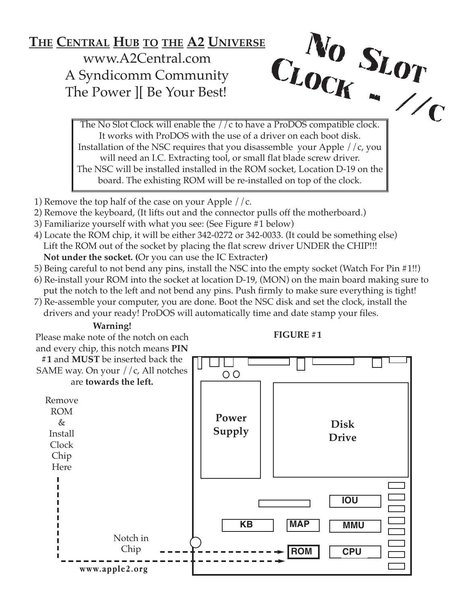## **THE CENTRAL HUB TO THE A2 UNIVERSE** www.A2Central.com A Syndicomm Community The Power ][ Be Your Best! CLO<sub>(</sub>

 $\frac{C_K}{C_K}$ The No Slot Clock will enable the //c to have a ProDOS compatible clock. It works with ProDOS with the use of a driver on each boot disk. Installation of the NSC requires that you disassemble your Apple //c, you will need an I.C. Extracting tool, or small flat blade screw driver. The NSC will be installed installed in the ROM socket, Location D-19 on the board. The exhisting ROM will be re-installed on top of the clock.

No SLOT

- 1) Remove the top half of the case on your Apple  $//c.$
- 2) Remove the keyboard, (It lifts out and the connector pulls off the motherboard.)
- 3) Familiarize yourself with what you see: (See Figure #1 below)
- 4) Locate the ROM chip, it will be either 342-0272 or 342-0033. (It could be something else) Lift the ROM out of the socket by placing the flat screw driver UNDER the CHIP!!! **Not under the socket. (**Or you can use the IC Extracter**)**
- 5) Being careful to not bend any pins, install the NSC into the empty socket (Watch For Pin #1!!)
- 6) Re-install your ROM into the socket at location D-19, (MON) on the main board making sure to put the notch to the left and not bend any pins. Push firmly to make sure everything is tight!
- 7) Re-assemble your computer, you are done. Boot the NSC disk and set the clock, install the drivers and your ready! ProDOS will automatically time and date stamp your files.

## **Warning!**